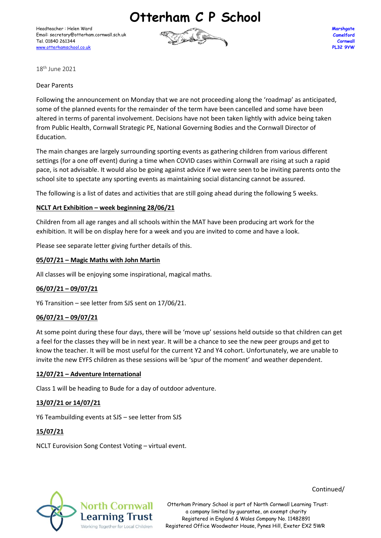**Otterham C P School**

Headteacher : Helen Ward Email: secretary@otterham.cornwall.sch.uk Tel. 01840 261344 [www.otterhamschool.co.uk](http://www.otterhamschool.co.uk/)



**Marshgate Camelford Cornwall PL32 9YW**

18th June 2021

Dear Parents

Following the announcement on Monday that we are not proceeding along the 'roadmap' as anticipated, some of the planned events for the remainder of the term have been cancelled and some have been altered in terms of parental involvement. Decisions have not been taken lightly with advice being taken from Public Health, Cornwall Strategic PE, National Governing Bodies and the Cornwall Director of Education.

The main changes are largely surrounding sporting events as gathering children from various different settings (for a one off event) during a time when COVID cases within Cornwall are rising at such a rapid pace, is not advisable. It would also be going against advice if we were seen to be inviting parents onto the school site to spectate any sporting events as maintaining social distancing cannot be assured.

The following is a list of dates and activities that are still going ahead during the following 5 weeks.

# **NCLT Art Exhibition – week beginning 28/06/21**

Children from all age ranges and all schools within the MAT have been producing art work for the exhibition. It will be on display here for a week and you are invited to come and have a look.

Please see separate letter giving further details of this.

# **05/07/21 – Magic Maths with John Martin**

All classes will be enjoying some inspirational, magical maths.

### **06/07/21 – 09/07/21**

Y6 Transition – see letter from SJS sent on 17/06/21.

### **06/07/21 – 09/07/21**

At some point during these four days, there will be 'move up' sessions held outside so that children can get a feel for the classes they will be in next year. It will be a chance to see the new peer groups and get to know the teacher. It will be most useful for the current Y2 and Y4 cohort. Unfortunately, we are unable to invite the new EYFS children as these sessions will be 'spur of the moment' and weather dependent.

### **12/07/21 – Adventure International**

Class 1 will be heading to Bude for a day of outdoor adventure.

### **13/07/21 or 14/07/21**

Y6 Teambuilding events at SJS – see letter from SJS

### **15/07/21**

NCLT Eurovision Song Contest Voting – virtual event.



Continued/

North Cornwall Otterham Primary School is part of North Cornwall Learning Trust: a company limited by guarantee, an exempt charity Registered in England & Wales Company No. 11482891 Registered Office Woodwater House, Pynes Hill, Exeter EX2 5WR